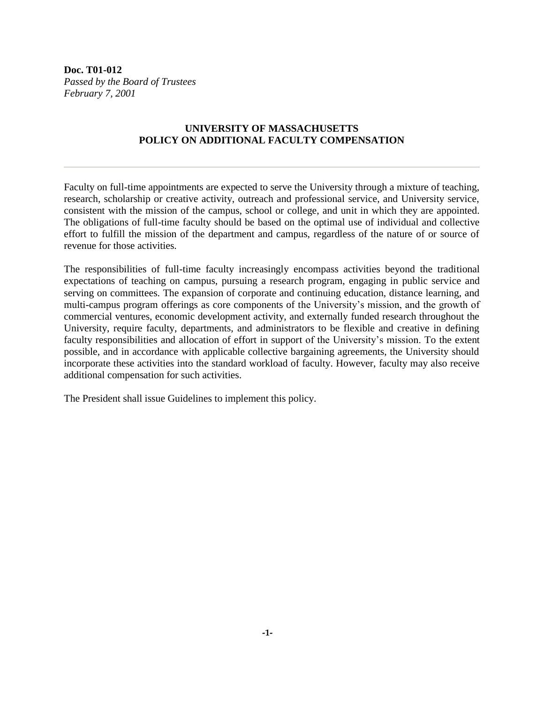**Doc. T01-012** *Passed by the Board of Trustees February 7, 2001*

## **UNIVERSITY OF MASSACHUSETTS POLICY ON ADDITIONAL FACULTY COMPENSATION**

Faculty on full-time appointments are expected to serve the University through a mixture of teaching, research, scholarship or creative activity, outreach and professional service, and University service, consistent with the mission of the campus, school or college, and unit in which they are appointed. The obligations of full-time faculty should be based on the optimal use of individual and collective effort to fulfill the mission of the department and campus, regardless of the nature of or source of revenue for those activities.

The responsibilities of full-time faculty increasingly encompass activities beyond the traditional expectations of teaching on campus, pursuing a research program, engaging in public service and serving on committees. The expansion of corporate and continuing education, distance learning, and multi-campus program offerings as core components of the University's mission, and the growth of commercial ventures, economic development activity, and externally funded research throughout the University, require faculty, departments, and administrators to be flexible and creative in defining faculty responsibilities and allocation of effort in support of the University's mission. To the extent possible, and in accordance with applicable collective bargaining agreements, the University should incorporate these activities into the standard workload of faculty. However, faculty may also receive additional compensation for such activities.

The President shall issue Guidelines to implement this policy.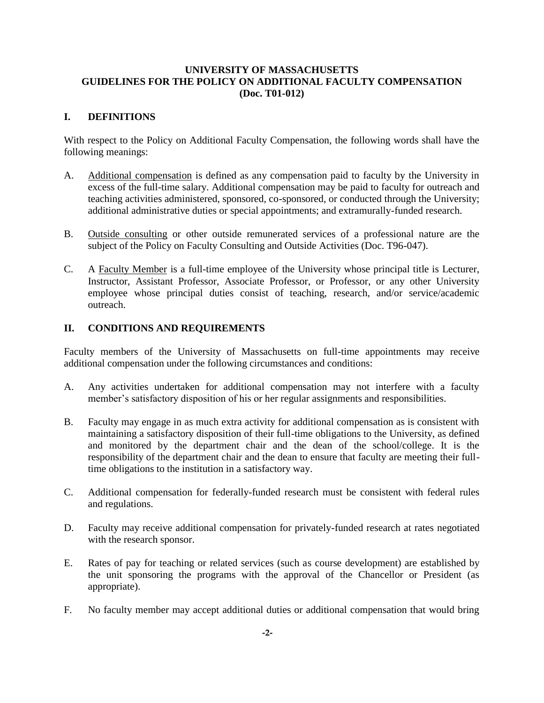## **UNIVERSITY OF MASSACHUSETTS GUIDELINES FOR THE POLICY ON ADDITIONAL FACULTY COMPENSATION (Doc. T01-012)**

## **I. DEFINITIONS**

With respect to the Policy on Additional Faculty Compensation, the following words shall have the following meanings:

- A. Additional compensation is defined as any compensation paid to faculty by the University in excess of the full-time salary. Additional compensation may be paid to faculty for outreach and teaching activities administered, sponsored, co-sponsored, or conducted through the University; additional administrative duties or special appointments; and extramurally-funded research.
- B. Outside consulting or other outside remunerated services of a professional nature are the subject of the Policy on Faculty Consulting and Outside Activities (Doc. T96-047).
- C. A Faculty Member is a full-time employee of the University whose principal title is Lecturer, Instructor, Assistant Professor, Associate Professor, or Professor, or any other University employee whose principal duties consist of teaching, research, and/or service/academic outreach.

## **II. CONDITIONS AND REQUIREMENTS**

Faculty members of the University of Massachusetts on full-time appointments may receive additional compensation under the following circumstances and conditions:

- A. Any activities undertaken for additional compensation may not interfere with a faculty member's satisfactory disposition of his or her regular assignments and responsibilities.
- B. Faculty may engage in as much extra activity for additional compensation as is consistent with maintaining a satisfactory disposition of their full-time obligations to the University, as defined and monitored by the department chair and the dean of the school/college. It is the responsibility of the department chair and the dean to ensure that faculty are meeting their fulltime obligations to the institution in a satisfactory way.
- C. Additional compensation for federally-funded research must be consistent with federal rules and regulations.
- D. Faculty may receive additional compensation for privately-funded research at rates negotiated with the research sponsor.
- E. Rates of pay for teaching or related services (such as course development) are established by the unit sponsoring the programs with the approval of the Chancellor or President (as appropriate).
- F. No faculty member may accept additional duties or additional compensation that would bring